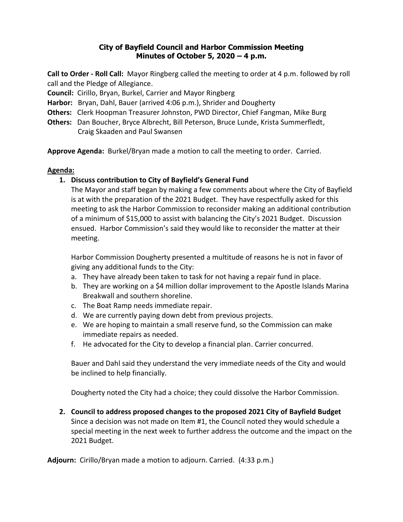## **City of Bayfield Council and Harbor Commission Meeting Minutes of October 5, 2020 – 4 p.m.**

**Call to Order - Roll Call:** Mayor Ringberg called the meeting to order at 4 p.m. followed by roll call and the Pledge of Allegiance.

**Council:** Cirillo, Bryan, Burkel, Carrier and Mayor Ringberg

**Harbor:** Bryan, Dahl, Bauer (arrived 4:06 p.m.), Shrider and Dougherty

**Others:** Clerk Hoopman Treasurer Johnston, PWD Director, Chief Fangman, Mike Burg

**Others:** Dan Boucher, Bryce Albrecht, Bill Peterson, Bruce Lunde, Krista Summerfledt, Craig Skaaden and Paul Swansen

**Approve Agenda:** Burkel/Bryan made a motion to call the meeting to order. Carried.

## **Agenda:**

# **1. Discuss contribution to City of Bayfield's General Fund**

The Mayor and staff began by making a few comments about where the City of Bayfield is at with the preparation of the 2021 Budget. They have respectfully asked for this meeting to ask the Harbor Commission to reconsider making an additional contribution of a minimum of \$15,000 to assist with balancing the City's 2021 Budget. Discussion ensued. Harbor Commission's said they would like to reconsider the matter at their meeting.

Harbor Commission Dougherty presented a multitude of reasons he is not in favor of giving any additional funds to the City:

- a. They have already been taken to task for not having a repair fund in place.
- b. They are working on a \$4 million dollar improvement to the Apostle Islands Marina Breakwall and southern shoreline.
- c. The Boat Ramp needs immediate repair.
- d. We are currently paying down debt from previous projects.
- e. We are hoping to maintain a small reserve fund, so the Commission can make immediate repairs as needed.
- f. He advocated for the City to develop a financial plan. Carrier concurred.

Bauer and Dahl said they understand the very immediate needs of the City and would be inclined to help financially.

Dougherty noted the City had a choice; they could dissolve the Harbor Commission.

**2. Council to address proposed changes to the proposed 2021 City of Bayfield Budget** Since a decision was not made on Item #1, the Council noted they would schedule a special meeting in the next week to further address the outcome and the impact on the 2021 Budget.

**Adjourn:** Cirillo/Bryan made a motion to adjourn. Carried. (4:33 p.m.)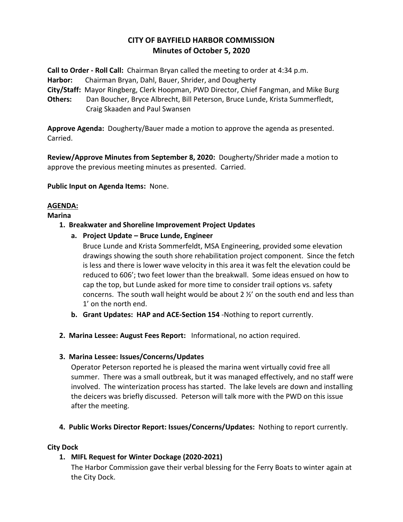# **CITY OF BAYFIELD HARBOR COMMISSION Minutes of October 5, 2020**

**Call to Order - Roll Call:** Chairman Bryan called the meeting to order at 4:34 p.m.

**Harbor:** Chairman Bryan, Dahl, Bauer, Shrider, and Dougherty

**City/Staff:** Mayor Ringberg, Clerk Hoopman, PWD Director, Chief Fangman, and Mike Burg

**Others:** Dan Boucher, Bryce Albrecht, Bill Peterson, Bruce Lunde, Krista Summerfledt, Craig Skaaden and Paul Swansen

**Approve Agenda:** Dougherty/Bauer made a motion to approve the agenda as presented. Carried.

**Review/Approve Minutes from September 8, 2020:** Dougherty/Shrider made a motion to approve the previous meeting minutes as presented. Carried.

**Public Input on Agenda Items:** None.

## **AGENDA:**

#### **Marina**

- **1. Breakwater and Shoreline Improvement Project Updates**
	- **a. Project Update – Bruce Lunde, Engineer**
		- Bruce Lunde and Krista Sommerfeldt, MSA Engineering, provided some elevation drawings showing the south shore rehabilitation project component. Since the fetch is less and there is lower wave velocity in this area it was felt the elevation could be reduced to 606'; two feet lower than the breakwall. Some ideas ensued on how to cap the top, but Lunde asked for more time to consider trail options vs. safety concerns. The south wall height would be about 2  $\frac{1}{2}$  on the south end and less than 1' on the north end.
	- **b. Grant Updates: HAP and ACE-Section 154** -Nothing to report currently.
- **2. Marina Lessee: August Fees Report:** Informational, no action required.

#### **3. Marina Lessee: Issues/Concerns/Updates**

Operator Peterson reported he is pleased the marina went virtually covid free all summer. There was a small outbreak, but it was managed effectively, and no staff were involved. The winterization process has started. The lake levels are down and installing the deicers was briefly discussed. Peterson will talk more with the PWD on this issue after the meeting.

**4. Public Works Director Report: Issues/Concerns/Updates:** Nothing to report currently.

#### **City Dock**

## **1. MIFL Request for Winter Dockage (2020-2021)**

The Harbor Commission gave their verbal blessing for the Ferry Boats to winter again at the City Dock.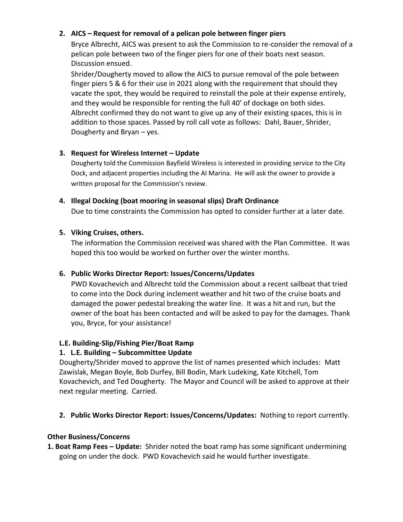## **2. AICS – Request for removal of a pelican pole between finger piers**

Bryce Albrecht, AICS was present to ask the Commission to re-consider the removal of a pelican pole between two of the finger piers for one of their boats next season. Discussion ensued.

Shrider/Dougherty moved to allow the AICS to pursue removal of the pole between finger piers 5 & 6 for their use in 2021 along with the requirement that should they vacate the spot, they would be required to reinstall the pole at their expense entirely, and they would be responsible for renting the full 40' of dockage on both sides. Albrecht confirmed they do not want to give up any of their existing spaces, this is in addition to those spaces. Passed by roll call vote as follows: Dahl, Bauer, Shrider, Dougherty and Bryan – yes.

## **3. Request for Wireless Internet – Update**

Dougherty told the Commission Bayfield Wireless is interested in providing service to the City Dock, and adjacent properties including the AI Marina. He will ask the owner to provide a written proposal for the Commission's review.

#### **4. Illegal Docking (boat mooring in seasonal slips) Draft Ordinance**

Due to time constraints the Commission has opted to consider further at a later date.

#### **5. Viking Cruises, others.**

The information the Commission received was shared with the Plan Committee. It was hoped this too would be worked on further over the winter months.

## **6. Public Works Director Report: Issues/Concerns/Updates**

PWD Kovachevich and Albrecht told the Commission about a recent sailboat that tried to come into the Dock during inclement weather and hit two of the cruise boats and damaged the power pedestal breaking the water line. It was a hit and run, but the owner of the boat has been contacted and will be asked to pay for the damages. Thank you, Bryce, for your assistance!

## **L.E. Building-Slip/Fishing Pier/Boat Ramp**

## **1. L.E. Building – Subcommittee Update**

Dougherty/Shrider moved to approve the list of names presented which includes: Matt Zawislak, Megan Boyle, Bob Durfey, Bill Bodin, Mark Ludeking, Kate Kitchell, Tom Kovachevich, and Ted Dougherty. The Mayor and Council will be asked to approve at their next regular meeting. Carried.

#### **2. Public Works Director Report: Issues/Concerns/Updates:** Nothing to report currently.

#### **Other Business/Concerns**

**1. Boat Ramp Fees – Update:** Shrider noted the boat ramp has some significant undermining going on under the dock. PWD Kovachevich said he would further investigate.